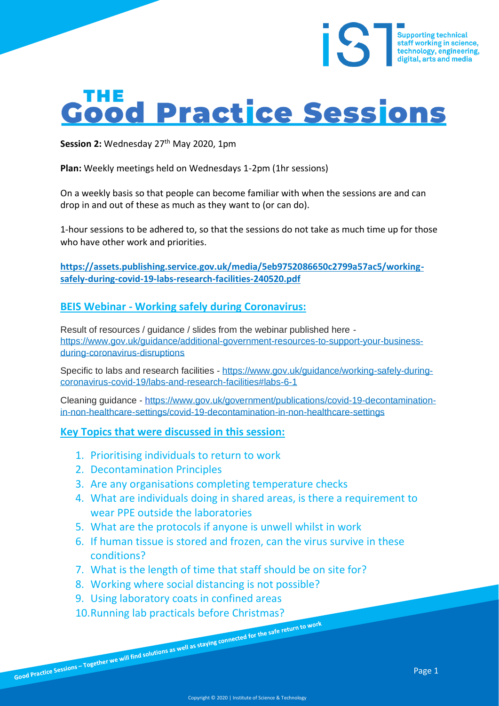# **Good Practice Sessions**

Session 2: Wednesday 27<sup>th</sup> May 2020, 1pm

**Plan:** Weekly meetings held on Wednesdays 1-2pm (1hr sessions)

On a weekly basis so that people can become familiar with when the sessions are and can drop in and out of these as much as they want to (or can do).

1-hour sessions to be adhered to, so that the sessions do not take as much time up for those who have other work and priorities.

**https://assets.publishing.service.gov.uk/media/5eb9752086650c2799a57ac5/workingsafely-during-covid-19-labs-research-facilities-240520.pdf**

#### **BEIS Webinar - Working safely during Coronavirus:**

Result of resources / guidance / slides from the webinar published here [https://www.gov.uk/guidance/additional-government-resources-to-support-your-business](https://www.gov.uk/guidance/additional-government-resources-to-support-your-business-during-coronavirus-disruptions)[during-coronavirus-disruptions](https://www.gov.uk/guidance/additional-government-resources-to-support-your-business-during-coronavirus-disruptions) 

Specific to labs and research facilities - [https://www.gov.uk/guidance/working-safely-during](https://www.gov.uk/guidance/working-safely-during-coronavirus-covid-19/labs-and-research-facilities#labs-6-1)[coronavirus-covid-19/labs-and-research-facilities#labs-6-1](https://www.gov.uk/guidance/working-safely-during-coronavirus-covid-19/labs-and-research-facilities#labs-6-1)

Cleaning guidance - [https://www.gov.uk/government/publications/covid-19-decontamination](https://www.gov.uk/government/publications/covid-19-decontamination-in-non-healthcare-settings/covid-19-decontamination-in-non-healthcare-settings)[in-non-healthcare-settings/covid-19-decontamination-in-non-healthcare-settings](https://www.gov.uk/government/publications/covid-19-decontamination-in-non-healthcare-settings/covid-19-decontamination-in-non-healthcare-settings)

**Key Topics that were discussed in this session:**

- 1. Prioritising individuals to return to work
- 2. Decontamination Principles
- 3. Are any organisations completing temperature checks
- 4. What are individuals doing in shared areas, is there a requirement to wear PPE outside the laboratories
- 5. What are the protocols if anyone is unwell whilst in work
- 6. If human tissue is stored and frozen, can the virus survive in these conditions?
- 7. What is the length of time that staff should be on site for?
- 8. Working where social distancing is not possible?
- 9. Using laboratory coats in confined areas
- 10. Running lab practicals before Christmas?<br>Good Practice Sessions Together we will find solutions as well as staying connected for the safe return to work

Supporting technical<br>staff working in science,<br>technology, engineering, digital, arts and media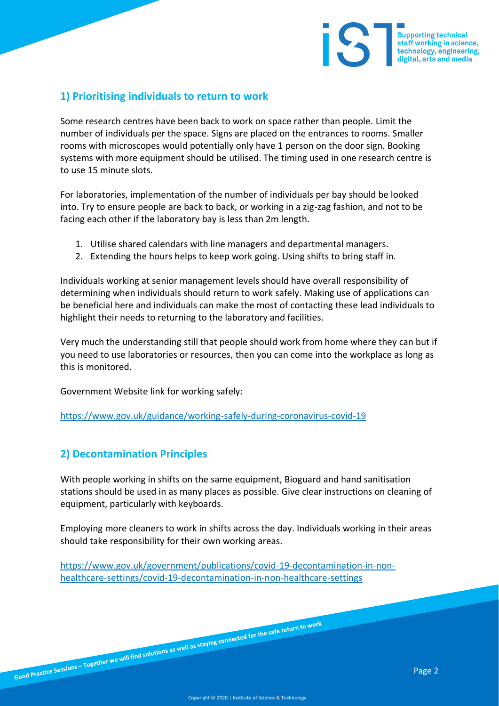# **1) Prioritising individuals to return to work**

Some research centres have been back to work on space rather than people. Limit the number of individuals per the space. Signs are placed on the entrances to rooms. Smaller rooms with microscopes would potentially only have 1 person on the door sign. Booking systems with more equipment should be utilised. The timing used in one research centre is to use 15 minute slots.

For laboratories, implementation of the number of individuals per bay should be looked into. Try to ensure people are back to back, or working in a zig-zag fashion, and not to be facing each other if the laboratory bay is less than 2m length.

- 1. Utilise shared calendars with line managers and departmental managers.
- 2. Extending the hours helps to keep work going. Using shifts to bring staff in.

Individuals working at senior management levels should have overall responsibility of determining when individuals should return to work safely. Making use of applications can be beneficial here and individuals can make the most of contacting these lead individuals to highlight their needs to returning to the laboratory and facilities.

Very much the understanding still that people should work from home where they can but if you need to use laboratories or resources, then you can come into the workplace as long as this is monitored.

Government Website link for working safely:

<https://www.gov.uk/guidance/working-safely-during-coronavirus-covid-19>

# **2) Decontamination Principles**

With people working in shifts on the same equipment, Bioguard and hand sanitisation stations should be used in as many places as possible. Give clear instructions on cleaning of equipment, particularly with keyboards.

Employing more cleaners to work in shifts across the day. Individuals working in their areas should take responsibility for their own working areas.

[https://www.gov.uk/government/publications/covid-19-decontamination-in-non](https://www.gov.uk/government/publications/covid-19-decontamination-in-non-healthcare-settings/covid-19-decontamination-in-non-healthcare-settings)[healthcare-settings/covid-19-decontamination-in-non-healthcare-settings](https://www.gov.uk/government/publications/covid-19-decontamination-in-non-healthcare-settings/covid-19-decontamination-in-non-healthcare-settings)

Supporting technical<br>staff working in science,<br>technology, engineering,<br>distital arts and modia

digital, arts and media

iS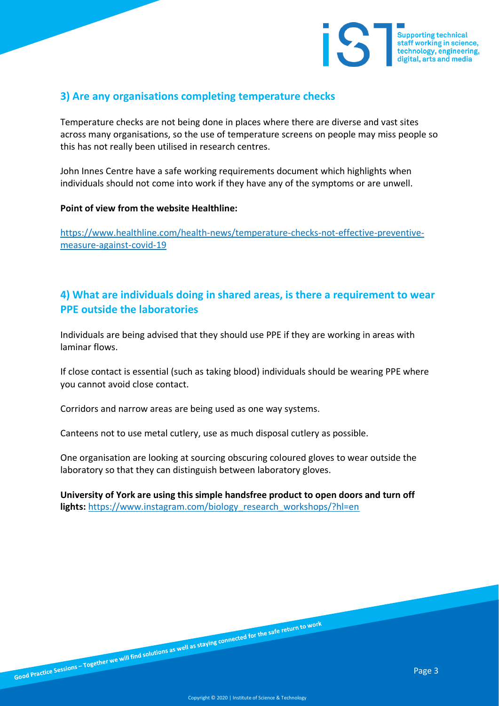

#### **3) Are any organisations completing temperature checks**

Temperature checks are not being done in places where there are diverse and vast sites across many organisations, so the use of temperature screens on people may miss people so this has not really been utilised in research centres.

John Innes Centre have a safe working requirements document which highlights when individuals should not come into work if they have any of the symptoms or are unwell.

#### **Point of view from the website Healthline:**

[https://www.healthline.com/health-news/temperature-checks-not-effective-preventive](https://www.healthline.com/health-news/temperature-checks-not-effective-preventive-measure-against-covid-19)[measure-against-covid-19](https://www.healthline.com/health-news/temperature-checks-not-effective-preventive-measure-against-covid-19)

## **4) What are individuals doing in shared areas, is there a requirement to wear PPE outside the laboratories**

Individuals are being advised that they should use PPE if they are working in areas with laminar flows.

If close contact is essential (such as taking blood) individuals should be wearing PPE where you cannot avoid close contact.

Corridors and narrow areas are being used as one way systems.

Canteens not to use metal cutlery, use as much disposal cutlery as possible.

One organisation are looking at sourcing obscuring coloured gloves to wear outside the laboratory so that they can distinguish between laboratory gloves.

**University of York are using this simple handsfree product to open doors and turn off lights:** [https://www.instagram.com/biology\\_research\\_workshops/?hl=en](https://www.instagram.com/biology_research_workshops/?hl=en)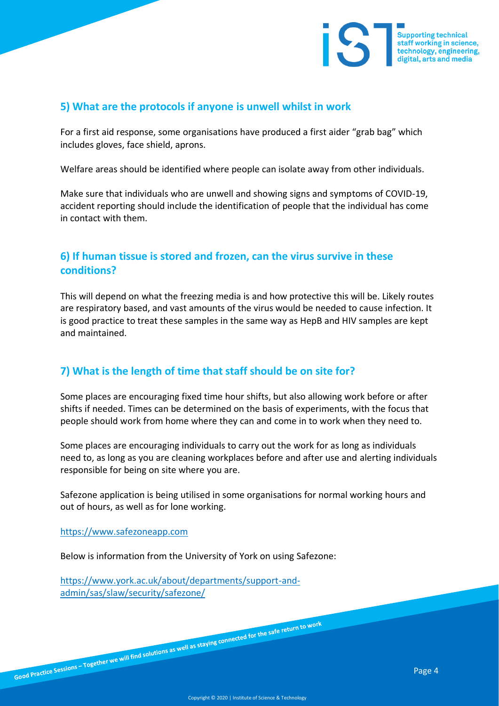

#### **5) What are the protocols if anyone is unwell whilst in work**

For a first aid response, some organisations have produced a first aider "grab bag" which includes gloves, face shield, aprons.

Welfare areas should be identified where people can isolate away from other individuals.

Make sure that individuals who are unwell and showing signs and symptoms of COVID-19, accident reporting should include the identification of people that the individual has come in contact with them.

# **6) If human tissue is stored and frozen, can the virus survive in these conditions?**

This will depend on what the freezing media is and how protective this will be. Likely routes are respiratory based, and vast amounts of the virus would be needed to cause infection. It is good practice to treat these samples in the same way as HepB and HIV samples are kept and maintained.

# **7) What is the length of time that staff should be on site for?**

Some places are encouraging fixed time hour shifts, but also allowing work before or after shifts if needed. Times can be determined on the basis of experiments, with the focus that people should work from home where they can and come in to work when they need to.

Some places are encouraging individuals to carry out the work for as long as individuals need to, as long as you are cleaning workplaces before and after use and alerting individuals responsible for being on site where you are.

Safezone application is being utilised in some organisations for normal working hours and out of hours, as well as for lone working.

[https://www.safezoneapp.com](https://www.safezoneapp.com/)

Below is information from the University of York on using Safezone:

[https://www.york.ac.uk/about/departments/support-and](https://www.york.ac.uk/about/departments/support-and-admin/sas/slaw/security/safezone/)[admin/sas/slaw/security/safezone/](https://www.york.ac.uk/about/departments/support-and-admin/sas/slaw/security/safezone/)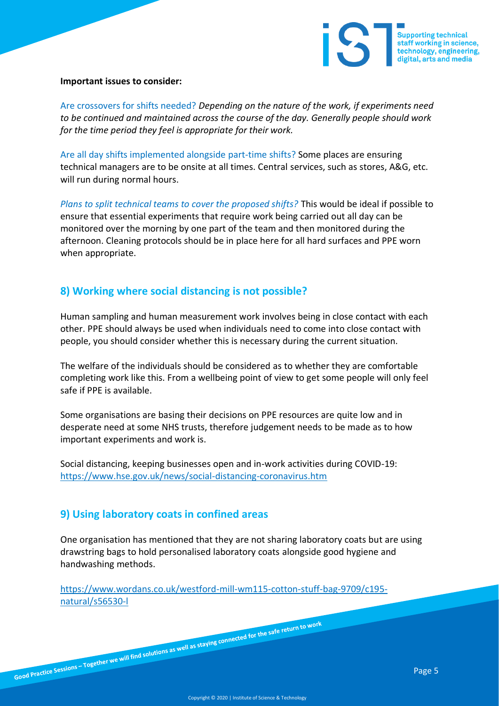

#### **Important issues to consider:**

Are crossovers for shifts needed? *Depending on the nature of the work, if experiments need to be continued and maintained across the course of the day. Generally people should work for the time period they feel is appropriate for their work.*

Are all day shifts implemented alongside part-time shifts? Some places are ensuring technical managers are to be onsite at all times. Central services, such as stores, A&G, etc. will run during normal hours.

*Plans to split technical teams to cover the proposed shifts?* This would be ideal if possible to ensure that essential experiments that require work being carried out all day can be monitored over the morning by one part of the team and then monitored during the afternoon. Cleaning protocols should be in place here for all hard surfaces and PPE worn when appropriate.

### **8) Working where social distancing is not possible?**

Human sampling and human measurement work involves being in close contact with each other. PPE should always be used when individuals need to come into close contact with people, you should consider whether this is necessary during the current situation.

The welfare of the individuals should be considered as to whether they are comfortable completing work like this. From a wellbeing point of view to get some people will only feel safe if PPE is available.

Some organisations are basing their decisions on PPE resources are quite low and in desperate need at some NHS trusts, therefore judgement needs to be made as to how important experiments and work is.

Social distancing, keeping businesses open and in-work activities during COVID-19: <https://www.hse.gov.uk/news/social-distancing-coronavirus.htm>

#### **9) Using laboratory coats in confined areas**

One organisation has mentioned that they are not sharing laboratory coats but are using drawstring bags to hold personalised laboratory coats alongside good hygiene and handwashing methods.

[https://www.wordans.co.uk/westford-mill-wm115-cotton-stuff-bag-9709/c195](https://www.wordans.co.uk/westford-mill-wm115-cotton-stuff-bag-9709/c195-natural/s56530-l) [natural/s56530-l](https://www.wordans.co.uk/westford-mill-wm115-cotton-stuff-bag-9709/c195-natural/s56530-l)